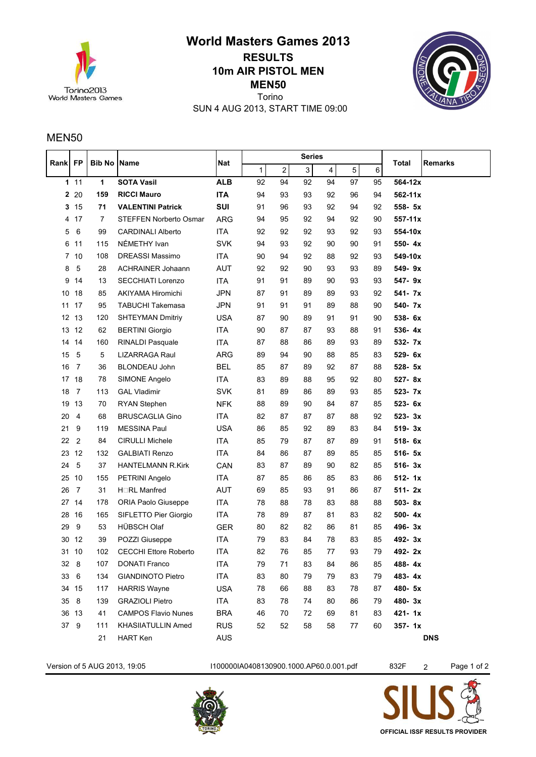

**MEN50 10m AIR PISTOL MEN World Masters Games 2013 RESULTS** Torino

SUN 4 AUG 2013, START TIME 09:00



## MEN50

| Rankl           | <b>FP</b>      | <b>Bib No Name</b> |                               | <b>Nat</b> | <b>Series</b> |                  |    |    |    |    |             | <b>Remarks</b> |
|-----------------|----------------|--------------------|-------------------------------|------------|---------------|------------------|----|----|----|----|-------------|----------------|
|                 |                |                    |                               |            | 1             | $\boldsymbol{2}$ | 3  | 4  | 5  | 6  | Total       |                |
|                 | 111            | $\mathbf{1}$       | <b>SOTA Vasil</b>             | <b>ALB</b> | 92            | 94               | 92 | 94 | 97 | 95 | 564-12x     |                |
| 2               | 20             | 159                | <b>RICCI Mauro</b>            | <b>ITA</b> | 94            | 93               | 93 | 92 | 96 | 94 | $562 - 11x$ |                |
| 3               | 15             | 71                 | <b>VALENTINI Patrick</b>      | SUI        | 91            | 96               | 93 | 92 | 94 | 92 | 558- 5x     |                |
| 4               | 17             | $\overline{7}$     | <b>STEFFEN Norberto Osmar</b> | <b>ARG</b> | 94            | 95               | 92 | 94 | 92 | 90 | $557 - 11x$ |                |
| 5               | $\,6\,$        | 99                 | <b>CARDINALI Alberto</b>      | ITA        | 92            | 92               | 92 | 93 | 92 | 93 | 554-10x     |                |
| 6               | 11             | 115                | NÉMETHY Ivan                  | <b>SVK</b> | 94            | 93               | 92 | 90 | 90 | 91 | 550-4x      |                |
| 7               | 10             | 108                | DREASSI Massimo               | ITA        | 90            | 94               | 92 | 88 | 92 | 93 | 549-10x     |                |
| 8               | $\sqrt{5}$     | 28                 | <b>ACHRAINER Johaann</b>      | <b>AUT</b> | 92            | 92               | 90 | 93 | 93 | 89 | 549-9x      |                |
| 9               | 14             | 13                 | SECCHIATI Lorenzo             | ITA        | 91            | 91               | 89 | 90 | 93 | 93 | 547-9x      |                |
| 10              | 18             | 85                 | AKIYAMA Hiromichi             | <b>JPN</b> | 87            | 91               | 89 | 89 | 93 | 92 | 541- 7x     |                |
| 11              | 17             | 95                 | <b>TABUCHI Takemasa</b>       | <b>JPN</b> | 91            | 91               | 91 | 89 | 88 | 90 | 540- 7x     |                |
| 12 <sup>2</sup> | 13             | 120                | <b>SHTEYMAN Dmitriy</b>       | <b>USA</b> | 87            | 90               | 89 | 91 | 91 | 90 | 538- 6x     |                |
| 13              | 12             | 62                 | <b>BERTINI Giorgio</b>        | <b>ITA</b> | 90            | 87               | 87 | 93 | 88 | 91 | 536-4x      |                |
| 14              | 14             | 160                | RINALDI Pasquale              | ITA        | 87            | 88               | 86 | 89 | 93 | 89 | 532- 7x     |                |
| 15              | 5              | 5                  | LIZARRAGA Raul                | ARG        | 89            | 94               | 90 | 88 | 85 | 83 | 529-6x      |                |
| 16              | $\overline{7}$ | 36                 | BLONDEAU John                 | <b>BEL</b> | 85            | 87               | 89 | 92 | 87 | 88 | 528- 5x     |                |
| 17              | 18             | 78                 | SIMONE Angelo                 | <b>ITA</b> | 83            | 89               | 88 | 95 | 92 | 80 | 527-8x      |                |
| 18              | $\overline{7}$ | 113                | <b>GAL Vladimir</b>           | <b>SVK</b> | 81            | 89               | 86 | 89 | 93 | 85 | 523- 7x     |                |
| 19              | 13             | 70                 | <b>RYAN Stephen</b>           | <b>NFK</b> | 88            | 89               | 90 | 84 | 87 | 85 | 523- 6x     |                |
| 20              | $\overline{4}$ | 68                 | <b>BRUSCAGLIA Gino</b>        | <b>ITA</b> | 82            | 87               | 87 | 87 | 88 | 92 | 523-3x      |                |
| 21              | 9              | 119                | <b>MESSINA Paul</b>           | <b>USA</b> | 86            | 85               | 92 | 89 | 83 | 84 | 519-3x      |                |
| 22              | $\overline{2}$ | 84                 | <b>CIRULLI Michele</b>        | <b>ITA</b> | 85            | 79               | 87 | 87 | 89 | 91 | 518-6x      |                |
| 23              | 12             | 132                | <b>GALBIATI Renzo</b>         | ITA        | 84            | 86               | 87 | 89 | 85 | 85 | 516- 5x     |                |
| 24              | $\sqrt{5}$     | 37                 | <b>HANTELMANN R.Kirk</b>      | CAN        | 83            | 87               | 89 | 90 | 82 | 85 | 516-3x      |                |
| 25              | 10             | 155                | PETRINI Angelo                | ITA        | 87            | 85               | 86 | 85 | 83 | 86 | 512-1x      |                |
| 26              | $\overline{7}$ | 31                 | HORL Manfred                  | AUT        | 69            | 85               | 93 | 91 | 86 | 87 | $511 - 2x$  |                |
| 27              | 14             | 178                | ORIA Paolo Giuseppe           | <b>ITA</b> | 78            | 88               | 78 | 83 | 88 | 88 | 503-8x      |                |
| 28              | 16             | 165                | SIFLETTO Pier Giorgio         | <b>ITA</b> | 78            | 89               | 87 | 81 | 83 | 82 | 500-4x      |                |
| 29              | 9              | 53                 | HÜBSCH Olaf                   | <b>GER</b> | 80            | 82               | 82 | 86 | 81 | 85 | 496-3x      |                |
| 30              | 12             | 39                 | POZZI Giuseppe                | <b>ITA</b> | 79            | 83               | 84 | 78 | 83 | 85 | 492-3x      |                |
| 31              | 10             | 102                | <b>CECCHI Ettore Roberto</b>  | ITA        | 82            | 76               | 85 | 77 | 93 | 79 | 492-2x      |                |
|                 | 32 8           | 107                | <b>DONATI Franco</b>          | ITA        | 79            | 71               | 83 | 84 | 86 | 85 | 488-4x      |                |
| 33              | 6              | 134                | <b>GIANDINOTO Pietro</b>      | <b>ITA</b> | 83            | 80               | 79 | 79 | 83 | 79 | 483-4x      |                |
|                 | 34 15          | 117                | <b>HARRIS Wayne</b>           | <b>USA</b> | 78            | 66               | 88 | 83 | 78 | 87 | 480-5x      |                |
| 35              | 8              | 139                | <b>GRAZIOLI Pietro</b>        | ITA        | 83            | 78               | 74 | 80 | 86 | 79 | 480-3x      |                |
|                 | 36 13          | 41                 | <b>CAMPOS Flavio Nunes</b>    | <b>BRA</b> | 46            | 70               | 72 | 69 | 81 | 83 | $421 - 1x$  |                |
| 37              | 9              | 111                | <b>KHASIIATULLIN Amed</b>     | <b>RUS</b> | 52            | 52               | 58 | 58 | 77 | 60 | $357 - 1x$  |                |
|                 |                | 21                 | <b>HART Ken</b>               | AUS        |               |                  |    |    |    |    |             | <b>DNS</b>     |

Version of 5 AUG 2013, 19:05 1100000IA0408130900.1000.AP60.0.001.pdf 832F 2 Page 1 of 2